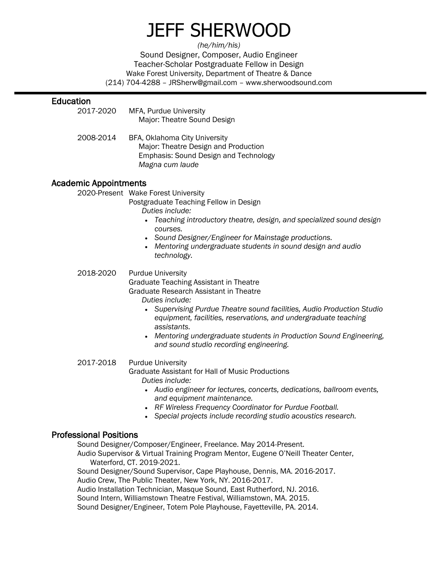# JEFF SHERWOOD

*(he/him/his)* Sound Designer, Composer, Audio Engineer Teacher-Scholar Postgraduate Fellow in Design Wake Forest University, Department of Theatre & Dance (214) 704-4288 – JRSherw@gmail.com – www.sherwoodsound.com

# Education

- 2017-2020 MFA, Purdue University Major: Theatre Sound Design
- 2008-2014 BFA, Oklahoma City University Major: Theatre Design and Production Emphasis: Sound Design and Technology *Magna cum laude*

# Academic Appointments

2020-Present Wake Forest University

Postgraduate Teaching Fellow in Design

*Duties include:*

- *Teaching introductory theatre, design, and specialized sound design courses.*
- *Sound Designer/Engineer for Mainstage productions.*
- *Mentoring undergraduate students in sound design and audio technology.*

2018-2020 Purdue University

Graduate Teaching Assistant in Theatre

Graduate Research Assistant in Theatre

*Duties include:*

- *Supervising Purdue Theatre sound facilities, Audio Production Studio equipment, facilities, reservations, and undergraduate teaching assistants.*
- *Mentoring undergraduate students in Production Sound Engineering, and sound studio recording engineering.*

## 2017-2018 Purdue University Graduate Assistant for Hall of Music Productions

*Duties include:* 

- *Audio engineer for lectures, concerts, dedications, ballroom events, and equipment maintenance.*
- *RF Wireless Frequency Coordinator for Purdue Football.*
- *Special projects include recording studio acoustics research.*

# Professional Positions

Sound Designer/Composer/Engineer, Freelance. May 2014-Present. Audio Supervisor & Virtual Training Program Mentor, Eugene O'Neill Theater Center, Waterford, CT. 2019-2021. Sound Designer/Sound Supervisor, Cape Playhouse, Dennis, MA. 2016-2017. Audio Crew, The Public Theater, New York, NY. 2016-2017. Audio Installation Technician, Masque Sound, East Rutherford, NJ. 2016. Sound Intern, Williamstown Theatre Festival, Williamstown, MA. 2015. Sound Designer/Engineer, Totem Pole Playhouse, Fayetteville, PA. 2014.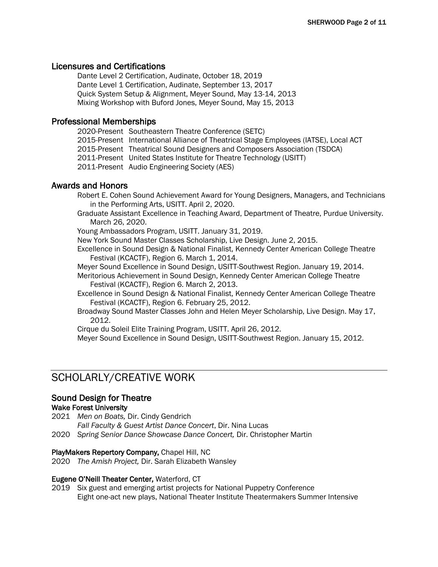# Licensures and Certifications

Dante Level 2 Certification, Audinate, October 18, 2019 Dante Level 1 Certification, Audinate, September 13, 2017 Quick System Setup & Alignment, Meyer Sound, May 13-14, 2013 Mixing Workshop with Buford Jones, Meyer Sound, May 15, 2013

#### Professional Memberships

- 2020-Present Southeastern Theatre Conference (SETC)
- 2015-Present International Alliance of Theatrical Stage Employees (IATSE), Local ACT
- 2015-Present Theatrical Sound Designers and Composers Association (TSDCA)
- 2011-Present United States Institute for Theatre Technology (USITT)
- 2011-Present Audio Engineering Society (AES)

# Awards and Honors

- Robert E. Cohen Sound Achievement Award for Young Designers, Managers, and Technicians in the Performing Arts, USITT. April 2, 2020.
- Graduate Assistant Excellence in Teaching Award, Department of Theatre, Purdue University. March 26, 2020.
- Young Ambassadors Program, USITT. January 31, 2019.

New York Sound Master Classes Scholarship, Live Design. June 2, 2015.

- Excellence in Sound Design & National Finalist, Kennedy Center American College Theatre Festival (KCACTF), Region 6. March 1, 2014.
- Meyer Sound Excellence in Sound Design, USITT-Southwest Region. January 19, 2014.
- Meritorious Achievement in Sound Design, Kennedy Center American College Theatre Festival (KCACTF), Region 6. March 2, 2013.
- Excellence in Sound Design & National Finalist, Kennedy Center American College Theatre Festival (KCACTF), Region 6. February 25, 2012.
- Broadway Sound Master Classes John and Helen Meyer Scholarship, Live Design. May 17, 2012.

Cirque du Soleil Elite Training Program, USITT. April 26, 2012.

Meyer Sound Excellence in Sound Design, USITT-Southwest Region. January 15, 2012.

# SCHOLARLY/CREATIVE WORK

# Sound Design for Theatre

#### Wake Forest University

2021 *Men on Boats,* Dir. Cindy Gendrich *Fall Faculty & Guest Artist Dance Concert*, Dir. Nina Lucas

2020 *Spring Senior Dance Showcase Dance Concert,* Dir. Christopher Martin

#### PlayMakers Repertory Company, Chapel Hill, NC

2020 *The Amish Project,* Dir. Sarah Elizabeth Wansley

#### Eugene O'Neill Theater Center, Waterford, CT

2019 Six guest and emerging artist projects for National Puppetry Conference Eight one-act new plays, National Theater Institute Theatermakers Summer Intensive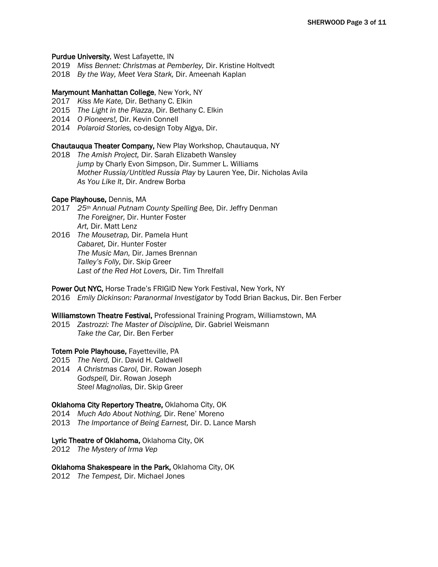#### Purdue University, West Lafayette, IN

- 2019 *Miss Bennet: Christmas at Pemberley,* Dir. Kristine Holtvedt
- 2018 *By the Way, Meet Vera Stark,* Dir. Ameenah Kaplan

#### Marymount Manhattan College, New York, NY

- 2017 *Kiss Me Kate,* Dir. Bethany C. Elkin
- 2015 *The Light in the Piazza*, Dir. Bethany C. Elkin
- 2014 *O Pioneers!,* Dir. Kevin Connell
- 2014 *Polaroid Stories,* co-design Toby Algya, Dir.

#### Chautauqua Theater Company, New Play Workshop, Chautauqua, NY

2018 *The Amish Project,* Dir. Sarah Elizabeth Wansley *jump* by Charly Evon Simpson, Dir. Summer L. Williams *Mother Russia/Untitled Russia Play* by Lauren Yee, Dir. Nicholas Avila *As You Like It*, Dir. Andrew Borba

#### Cape Playhouse, Dennis, MA

- 2017 *25th Annual Putnam County Spelling Bee,* Dir. Jeffry Denman *The Foreigner,* Dir. Hunter Foster *Art,* Dir. Matt Lenz
- 2016 *The Mousetrap,* Dir. Pamela Hunt *Cabaret,* Dir. Hunter Foster *The Music Man,* Dir. James Brennan *Talley's Folly,* Dir. Skip Greer *Last of the Red Hot Lovers,* Dir. Tim Threlfall

Power Out NYC, Horse Trade's FRIGID New York Festival, New York, NY 2016 *Emily Dickinson: Paranormal Investigator* by Todd Brian Backus, Dir. Ben Ferber

#### Williamstown Theatre Festival, Professional Training Program, Williamstown, MA

2015 *Zastrozzi: The Master of Discipline,* Dir. Gabriel Weismann *Take the Car,* Dir. Ben Ferber

#### Totem Pole Playhouse, Fayetteville, PA

- 2015 *The Nerd,* Dir. David H. Caldwell
- 2014 *A Christmas Carol,* Dir. Rowan Joseph *Godspell,* Dir. Rowan Joseph *Steel Magnolias,* Dir. Skip Greer

#### Oklahoma City Repertory Theatre, Oklahoma City, OK

- 2014 *Much Ado About Nothing,* Dir. Rene' Moreno
- 2013 *The Importance of Being Earnest,* Dir. D. Lance Marsh

#### Lyric Theatre of Oklahoma, Oklahoma City, OK

2012 *The Mystery of Irma Vep*

#### Oklahoma Shakespeare in the Park, Oklahoma City, OK

2012 *The Tempest,* Dir. Michael Jones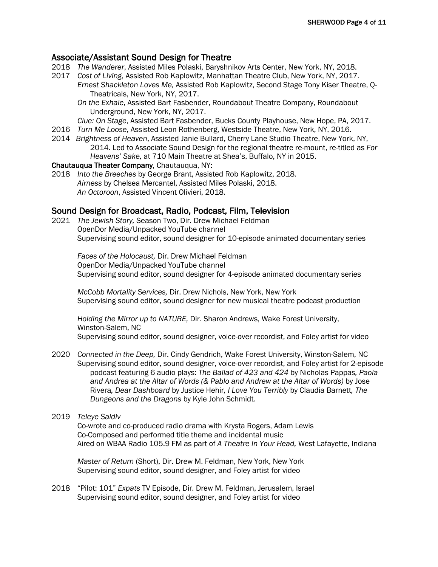# Associate/Assistant Sound Design for Theatre

- 2018 *The Wanderer*, Assisted Miles Polaski, Baryshnikov Arts Center, New York, NY, 2018.
- 2017 *Cost of Living*, Assisted Rob Kaplowitz, Manhattan Theatre Club, New York, NY, 2017. *Ernest Shackleton Loves Me,* Assisted Rob Kaplowitz, Second Stage Tony Kiser Theatre, Q-Theatricals, New York, NY, 2017.
	- *On the Exhale*, Assisted Bart Fasbender, Roundabout Theatre Company, Roundabout Underground, New York, NY, 2017.
	- *Clue: On Stage*, Assisted Bart Fasbender, Bucks County Playhouse, New Hope, PA, 2017.
- 2016 *Turn Me Loose*, Assisted Leon Rothenberg, Westside Theatre, New York, NY, 2016.
- 2014 *Brightness of Heaven*, Assisted Janie Bullard, Cherry Lane Studio Theatre, New York, NY, 2014. Led to Associate Sound Design for the regional theatre re-mount, re-titled as *For Heavens' Sake,* at 710 Main Theatre at Shea's, Buffalo, NY in 2015.

#### Chautauqua Theater Company, Chautauqua, NY:

2018 *Into the Breeches* by George Brant, Assisted Rob Kaplowitz, 2018. *Airness* by Chelsea Mercantel, Assisted Miles Polaski, 2018. *An Octoroon*, Assisted Vincent Olivieri, 2018.

#### Sound Design for Broadcast, Radio, Podcast, Film, Television

2021 *The Jewish Story,* Season Two, Dir. Drew Michael Feldman OpenDor Media/Unpacked YouTube channel Supervising sound editor, sound designer for 10-episode animated documentary series

*Faces of the Holocaust,* Dir. Drew Michael Feldman OpenDor Media/Unpacked YouTube channel Supervising sound editor, sound designer for 4-episode animated documentary series

*McCobb Mortality Services,* Dir. Drew Nichols, New York, New York Supervising sound editor, sound designer for new musical theatre podcast production

*Holding the Mirror up to NATURE,* Dir. Sharon Andrews, Wake Forest University, Winston-Salem, NC Supervising sound editor, sound designer, voice-over recordist, and Foley artist for video

- 2020 *Connected in the Deep,* Dir. Cindy Gendrich, Wake Forest University, Winston-Salem, NC Supervising sound editor, sound designer, voice-over recordist, and Foley artist for 2-episode podcast featuring 6 audio plays: *The Ballad of 423 and 424* by Nicholas Pappas*, Paola and Andrea at the Altar of Words (& Pablo and Andrew at the Altar of Words)* by Jose Rivera*, Dear Dashboard* by Justice Hehir*, I Love You Terribly* by Claudia Barnett*, The Dungeons and the Dragons* by Kyle John Schmidt*.*
- 2019 *Teleye Saldiv*

Co-wrote and co-produced radio drama with Krysta Rogers, Adam Lewis Co-Composed and performed title theme and incidental music Aired on WBAA Radio 105.9 FM as part of *A Theatre In Your Head,* West Lafayette, Indiana

*Master of Return* (Short), Dir. Drew M. Feldman, New York, New York Supervising sound editor, sound designer, and Foley artist for video

2018 "Pilot: 101" *Expats* TV Episode, Dir. Drew M. Feldman, Jerusalem, Israel Supervising sound editor, sound designer, and Foley artist for video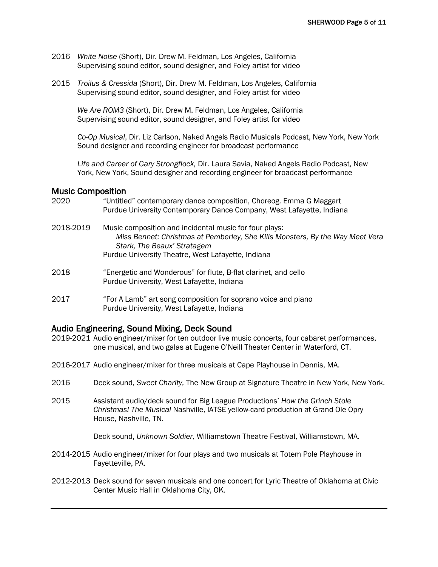- 2016 *White Noise* (Short), Dir. Drew M. Feldman, Los Angeles, California Supervising sound editor, sound designer, and Foley artist for video
- 2015 *Troilus & Cressida* (Short), Dir. Drew M. Feldman, Los Angeles, California Supervising sound editor, sound designer, and Foley artist for video

*We Are ROM3* (Short), Dir. Drew M. Feldman, Los Angeles, California Supervising sound editor, sound designer, and Foley artist for video

*Co-Op Musical*, Dir. Liz Carlson, Naked Angels Radio Musicals Podcast, New York, New York Sound designer and recording engineer for broadcast performance

*Life and Career of Gary Strongflock,* Dir. Laura Savia, Naked Angels Radio Podcast, New York, New York, Sound designer and recording engineer for broadcast performance

#### Music Composition

2020 "Untitled" contemporary dance composition, Choreog. Emma G Maggart Purdue University Contemporary Dance Company, West Lafayette, Indiana 2018-2019 Music composition and incidental music for four plays: *Miss Bennet: Christmas at Pemberley, She Kills Monsters, By the Way Meet Vera Stark, The Beaux' Stratagem* Purdue University Theatre, West Lafayette, Indiana 2018 "Energetic and Wonderous" for flute, B-flat clarinet, and cello Purdue University, West Lafayette, Indiana 2017 "For A Lamb" art song composition for soprano voice and piano Purdue University, West Lafayette, Indiana

# Audio Engineering, Sound Mixing, Deck Sound

- 2019-2021 Audio engineer/mixer for ten outdoor live music concerts, four cabaret performances, one musical, and two galas at Eugene O'Neill Theater Center in Waterford, CT.
- 2016-2017 Audio engineer/mixer for three musicals at Cape Playhouse in Dennis, MA.
- 2016 Deck sound, *Sweet Charity,* The New Group at Signature Theatre in New York, New York.
- 2015 Assistant audio/deck sound for Big League Productions' *How the Grinch Stole Christmas! The Musical* Nashville, IATSE yellow-card production at Grand Ole Opry House, Nashville, TN.

Deck sound, *Unknown Soldier,* Williamstown Theatre Festival, Williamstown, MA.

- 2014-2015 Audio engineer/mixer for four plays and two musicals at Totem Pole Playhouse in Fayetteville, PA.
- 2012-2013 Deck sound for seven musicals and one concert for Lyric Theatre of Oklahoma at Civic Center Music Hall in Oklahoma City, OK.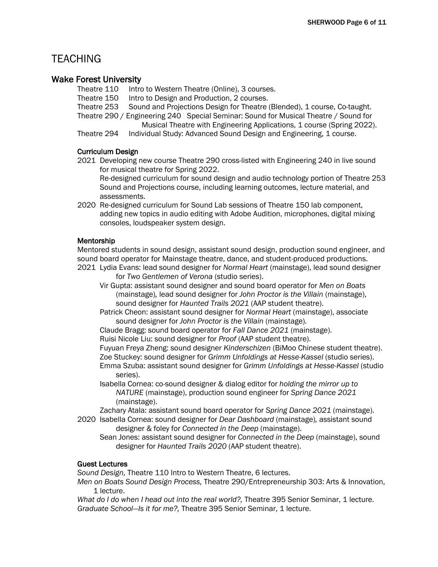# **TEACHING**

# Wake Forest University

Theatre 110 Intro to Western Theatre (Online), 3 courses.

Theatre 150 Intro to Design and Production, 2 courses.

Theatre 253 Sound and Projections Design for Theatre (Blended), 1 course, Co-taught.

Theatre 290 / Engineering 240 Special Seminar: Sound for Musical Theatre / Sound for Musical Theatre with Engineering Applications, 1 course (Spring 2022).

Theatre 294 Individual Study: Advanced Sound Design and Engineering, 1 course.

# Curriculum Design

- 2021 Developing new course Theatre 290 cross-listed with Engineering 240 in live sound for musical theatre for Spring 2022. Re-designed curriculum for sound design and audio technology portion of Theatre 253 Sound and Projections course, including learning outcomes, lecture material, and assessments.
- 2020 Re-designed curriculum for Sound Lab sessions of Theatre 150 lab component, adding new topics in audio editing with Adobe Audition, microphones, digital mixing consoles, loudspeaker system design.

# Mentorship

Mentored students in sound design, assistant sound design, production sound engineer, and sound board operator for Mainstage theatre, dance, and student-produced productions.

- 2021 Lydia Evans: lead sound designer for *Normal Heart* (mainstage), lead sound designer for *Two Gentlemen of Verona* (studio series).
	- Vir Gupta: assistant sound designer and sound board operator for *Men on Boats* (mainstage)*,* lead sound designer for *John Proctor is the Villain* (mainstage), sound designer for *Haunted Trails 2021* (AAP student theatre).

Patrick Cheon: assistant sound designer for *Normal Heart* (mainstage), associate sound designer for *John Proctor is the Villain* (mainstage)*.* 

Claude Bragg: sound board operator for *Fall Dance 2021* (mainstage).

Ruisi Nicole Liu: sound designer for *Proof* (AAP student theatre).

Fuyuan Freya Zheng: sound designer *Kinderschizen* (BiMoo Chinese student theatre). Zoe Stuckey: sound designer for *Grimm Unfoldings at Hesse-Kassel* (studio series).

Emma Szuba: assistant sound designer for *Grimm Unfoldings at Hesse-Kassel* (studio series).

Isabella Cornea: co-sound designer & dialog editor for *holding the mirror up to NATURE* (mainstage), production sound engineer for *Spring Dance 2021*  (mainstage).

Zachary Atala: assistant sound board operator for *Spring Dance 2021* (mainstage).

- 2020 Isabella Cornea: sound designer for *Dear Dashboard* (mainstage)*,* assistant sound designer & foley for *Connected in the Deep* (mainstage).
	- Sean Jones: assistant sound designer for *Connected in the Deep* (mainstage), sound designer for *Haunted Trails 2020* (AAP student theatre).

# Guest Lectures

*Sound Design,* Theatre 110 Intro to Western Theatre, 6 lectures.

*Men on Boats Sound Design Process,* Theatre 290/Entrepreneurship 303: Arts & Innovation, 1 lecture.

*What do I do when I head out into the real world?,* Theatre 395 Senior Seminar, 1 lecture. *Graduate School—Is it for me?,* Theatre 395 Senior Seminar, 1 lecture.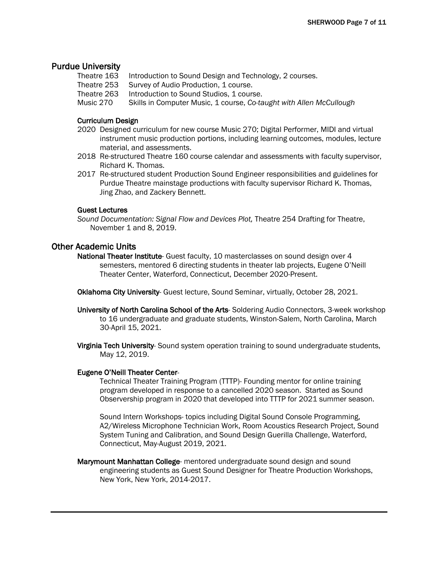# Purdue University

- Theatre 163 Introduction to Sound Design and Technology, 2 courses.
- Theatre 253 Survey of Audio Production, 1 course.
- Theatre 263 Introduction to Sound Studios, 1 course.
- Music 270 Skills in Computer Music, 1 course, *Co-taught with Allen McCullough*

#### Curriculum Design

- 2020 Designed curriculum for new course Music 270; Digital Performer, MIDI and virtual instrument music production portions, including learning outcomes, modules, lecture material, and assessments.
- 2018 Re-structured Theatre 160 course calendar and assessments with faculty supervisor, Richard K. Thomas.
- 2017 Re-structured student Production Sound Engineer responsibilities and guidelines for Purdue Theatre mainstage productions with faculty supervisor Richard K. Thomas, Jing Zhao, and Zackery Bennett.

#### Guest Lectures

# Other Academic Units

- National Theater Institute- Guest faculty, 10 masterclasses on sound design over 4 semesters, mentored 6 directing students in theater lab projects, Eugene O'Neill Theater Center, Waterford, Connecticut, December 2020-Present.
- Oklahoma City University- Guest lecture, Sound Seminar, virtually, October 28, 2021.
- University of North Carolina School of the Arts- Soldering Audio Connectors, 3-week workshop to 16 undergraduate and graduate students, Winston-Salem, North Carolina, March 30-April 15, 2021.
- Virginia Tech University- Sound system operation training to sound undergraduate students, May 12, 2019.

#### Eugene O'Neill Theater Center-

Technical Theater Training Program (TTTP)- Founding mentor for online training program developed in response to a cancelled 2020 season. Started as Sound Observership program in 2020 that developed into TTTP for 2021 summer season.

Sound Intern Workshops- topics including Digital Sound Console Programming, A2/Wireless Microphone Technician Work, Room Acoustics Research Project, Sound System Tuning and Calibration, and Sound Design Guerilla Challenge, Waterford, Connecticut, May-August 2019, 2021.

Marymount Manhattan College- mentored undergraduate sound design and sound engineering students as Guest Sound Designer for Theatre Production Workshops, New York, New York, 2014-2017.

*Sound Documentation: Signal Flow and Devices Plot,* Theatre 254 Drafting for Theatre, November 1 and 8, 2019.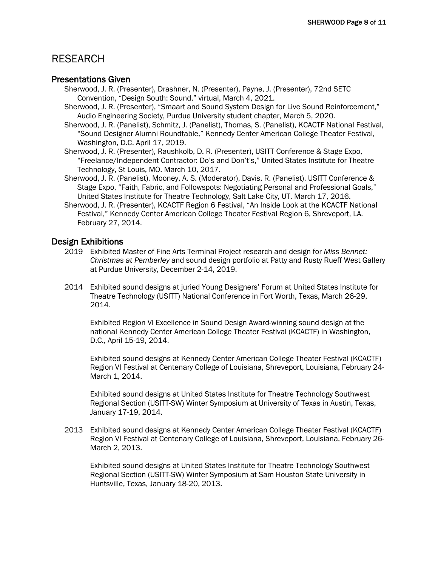# RESEARCH

# Presentations Given

- Sherwood, J. R. (Presenter), Drashner, N. (Presenter), Payne, J. (Presenter), 72nd SETC Convention, "Design South: Sound," virtual, March 4, 2021.
- Sherwood, J. R. (Presenter), "Smaart and Sound System Design for Live Sound Reinforcement," Audio Engineering Society, Purdue University student chapter, March 5, 2020.
- Sherwood, J. R. (Panelist), Schmitz, J. (Panelist), Thomas, S. (Panelist), KCACTF National Festival, "Sound Designer Alumni Roundtable," Kennedy Center American College Theater Festival, Washington, D.C. April 17, 2019.
- Sherwood, J. R. (Presenter), Raushkolb, D. R. (Presenter), USITT Conference & Stage Expo, "Freelance/Independent Contractor: Do's and Don't's," United States Institute for Theatre Technology, St Louis, MO. March 10, 2017.
- Sherwood, J. R. (Panelist), Mooney, A. S. (Moderator), Davis, R. (Panelist), USITT Conference & Stage Expo, "Faith, Fabric, and Followspots: Negotiating Personal and Professional Goals," United States Institute for Theatre Technology, Salt Lake City, UT. March 17, 2016.
- Sherwood, J. R. (Presenter), KCACTF Region 6 Festival, "An Inside Look at the KCACTF National Festival," Kennedy Center American College Theater Festival Region 6, Shreveport, LA. February 27, 2014.

# Design Exhibitions

- 2019 Exhibited Master of Fine Arts Terminal Project research and design for *Miss Bennet: Christmas at Pemberley* and sound design portfolio at Patty and Rusty Rueff West Gallery at Purdue University, December 2-14, 2019.
- 2014 Exhibited sound designs at juried Young Designers' Forum at United States Institute for Theatre Technology (USITT) National Conference in Fort Worth, Texas, March 26-29, 2014.

Exhibited Region VI Excellence in Sound Design Award-winning sound design at the national Kennedy Center American College Theater Festival (KCACTF) in Washington, D.C., April 15-19, 2014.

Exhibited sound designs at Kennedy Center American College Theater Festival (KCACTF) Region VI Festival at Centenary College of Louisiana, Shreveport, Louisiana, February 24- March 1, 2014.

Exhibited sound designs at United States Institute for Theatre Technology Southwest Regional Section (USITT-SW) Winter Symposium at University of Texas in Austin, Texas, January 17-19, 2014.

2013 Exhibited sound designs at Kennedy Center American College Theater Festival (KCACTF) Region VI Festival at Centenary College of Louisiana, Shreveport, Louisiana, February 26- March 2, 2013.

Exhibited sound designs at United States Institute for Theatre Technology Southwest Regional Section (USITT-SW) Winter Symposium at Sam Houston State University in Huntsville, Texas, January 18-20, 2013.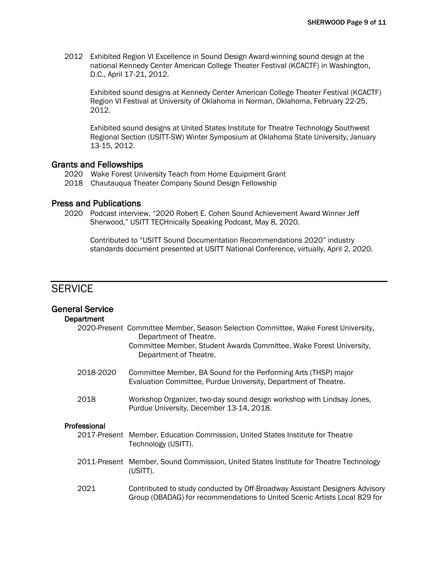2012 Exhibited Region VI Excellence in Sound Design Award-winning sound design at the national Kennedy Center American College Theater Festival (KCACTF) in Washington, D.C., April 17-21, 2012.

Exhibited sound designs at Kennedy Center American College Theater Festival (KCACTF) Region VI Festival at University of Oklahoma in Norman, Oklahoma, February 22-25, 2012.

Exhibited sound designs at United States Institute for Theatre Technology Southwest Regional Section (USITT-SW) Winter Symposium at Oklahoma State University, January 13-15, 2012.

#### Grants and Fellowships

- 2020 Wake Forest University Teach from Home Equipment Grant
- 2018 Chautauqua Theater Company Sound Design Fellowship

# Press and Publications

2020 Podcast interview, "2020 Robert E. Cohen Sound Achievement Award Winner Jeff Sherwood," USITT TECHnically Speaking Podcast, May 8, 2020.

Contributed to "USITT Sound Documentation Recommendations 2020" industry standards document presented at USITT National Conference, virtually, April 2, 2020.

# **SERVICE**

| <b>General Service</b><br>Department |                                                                                                                                                                                                               |
|--------------------------------------|---------------------------------------------------------------------------------------------------------------------------------------------------------------------------------------------------------------|
|                                      | 2020-Present Committee Member, Season Selection Committee, Wake Forest University,<br>Department of Theatre.<br>Committee Member, Student Awards Committee, Wake Forest University,<br>Department of Theatre. |
| 2018-2020                            | Committee Member, BA Sound for the Performing Arts (THSP) major<br>Evaluation Committee, Purdue University, Department of Theatre.                                                                            |
| 2018                                 | Workshop Organizer, two-day sound design workshop with Lindsay Jones,<br>Purdue University, December 13-14, 2018.                                                                                             |
| Professional                         | 2017-Present Member, Education Commission, United States Institute for Theatre<br>Technology (USITT).                                                                                                         |
|                                      | 2011-Present Member, Sound Commission, United States Institute for Theatre Technology<br>(USITT).                                                                                                             |
| 2021                                 | Contributed to study conducted by Off-Broadway Assistant Designers Advisory<br>Group (OBADAG) for recommendations to United Scenic Artists Local 829 for                                                      |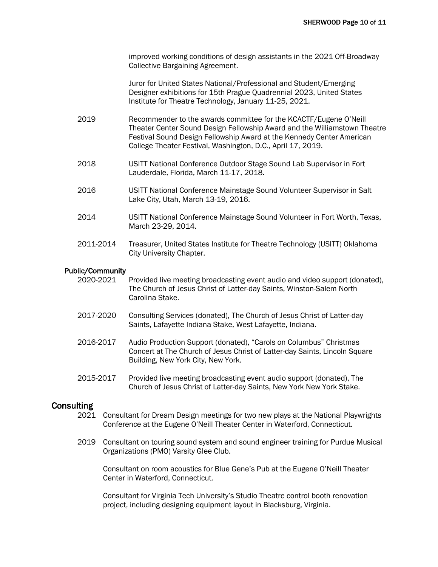improved working conditions of design assistants in the 2021 Off-Broadway Collective Bargaining Agreement.

Juror for United States National/Professional and Student/Emerging Designer exhibitions for 15th Prague Quadrennial 2023, United States Institute for Theatre Technology, January 11-25, 2021.

- 2019 Recommender to the awards committee for the KCACTF/Eugene O'Neill Theater Center Sound Design Fellowship Award and the Williamstown Theatre Festival Sound Design Fellowship Award at the Kennedy Center American College Theater Festival, Washington, D.C., April 17, 2019.
- 2018 USITT National Conference Outdoor Stage Sound Lab Supervisor in Fort Lauderdale, Florida, March 11-17, 2018.
- 2016 USITT National Conference Mainstage Sound Volunteer Supervisor in Salt Lake City, Utah, March 13-19, 2016.
- 2014 USITT National Conference Mainstage Sound Volunteer in Fort Worth, Texas, March 23-29, 2014.
- 2011-2014 Treasurer, United States Institute for Theatre Technology (USITT) Oklahoma City University Chapter.

# Public/Community

- 2020-2021 Provided live meeting broadcasting event audio and video support (donated), The Church of Jesus Christ of Latter-day Saints, Winston-Salem North Carolina Stake.
- 2017-2020 Consulting Services (donated), The Church of Jesus Christ of Latter-day Saints, Lafayette Indiana Stake, West Lafayette, Indiana.
- 2016-2017 Audio Production Support (donated), "Carols on Columbus" Christmas Concert at The Church of Jesus Christ of Latter-day Saints, Lincoln Square Building, New York City, New York.
- 2015-2017 Provided live meeting broadcasting event audio support (donated), The Church of Jesus Christ of Latter-day Saints, New York New York Stake.

## **Consulting**

- 2021 Consultant for Dream Design meetings for two new plays at the National Playwrights Conference at the Eugene O'Neill Theater Center in Waterford, Connecticut.
- 2019 Consultant on touring sound system and sound engineer training for Purdue Musical Organizations (PMO) Varsity Glee Club.

Consultant on room acoustics for Blue Gene's Pub at the Eugene O'Neill Theater Center in Waterford, Connecticut.

Consultant for Virginia Tech University's Studio Theatre control booth renovation project, including designing equipment layout in Blacksburg, Virginia.